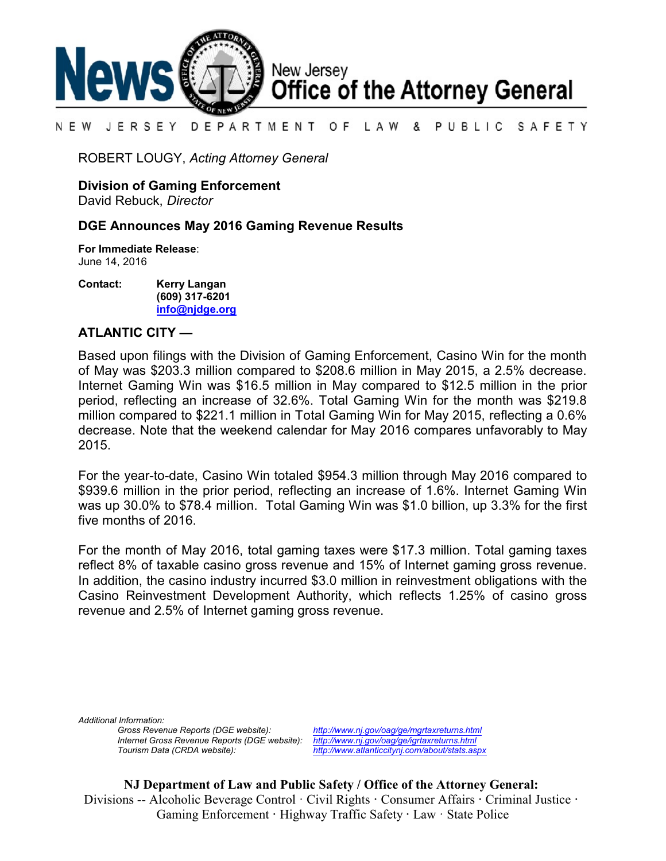

#### N E W JERSEY DEPARTMENT OF LAW & PUBLIC SAFETY

ROBERT LOUGY, *Acting Attorney General*

**Division of Gaming Enforcement**

David Rebuck, *Director*

## **DGE Announces May 2016 Gaming Revenue Results**

**For Immediate Release**: June 14, 2016

**Contact: Kerry Langan (609) 317-6201 [info@njdge.org](file:///|//info@njdge.org)**

## **ATLANTIC CITY —**

Based upon filings with the Division of Gaming Enforcement, Casino Win for the month of May was \$203.3 million compared to \$208.6 million in May 2015, a 2.5% decrease. Internet Gaming Win was \$16.5 million in May compared to \$12.5 million in the prior period, reflecting an increase of 32.6%. Total Gaming Win for the month was \$219.8 million compared to \$221.1 million in Total Gaming Win for May 2015, reflecting a 0.6% decrease. Note that the weekend calendar for May 2016 compares unfavorably to May 2015.

For the year-to-date, Casino Win totaled \$954.3 million through May 2016 compared to \$939.6 million in the prior period, reflecting an increase of 1.6%. Internet Gaming Win was up 30.0% to \$78.4 million. Total Gaming Win was \$1.0 billion, up 3.3% for the first five months of 2016.

For the month of May 2016, total gaming taxes were \$17.3 million. Total gaming taxes reflect 8% of taxable casino gross revenue and 15% of Internet gaming gross revenue. In addition, the casino industry incurred \$3.0 million in reinvestment obligations with the Casino Reinvestment Development Authority, which reflects 1.25% of casino gross revenue and 2.5% of Internet gaming gross revenue.

*Additional Information:*

*Gross Revenue Reports (DGE website): <http://www.nj.gov/oag/ge/mgrtaxreturns.html> Internet Gross Revenue Reports (DGE website): <http://www.nj.gov/oag/ge/igrtaxreturns.html>*

*Tourism Data (CRDA website): <http://www.atlanticcitynj.com/about/stats.aspx>*

**NJ Department of Law and Public Safety / Office of the Attorney General:** Divisions -- Alcoholic Beverage Control · Civil Rights **·** Consumer Affairs **·** Criminal Justice **·**  Gaming Enforcement **·** Highway Traffic Safety **·** Law · State Police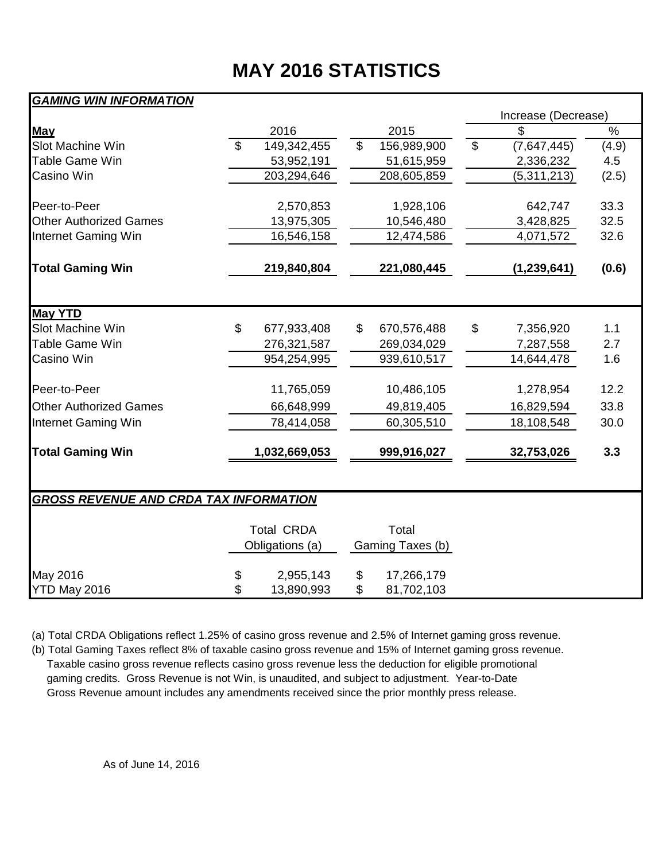# **MAY 2016 STATISTICS**

## *GAMING WIN INFORMATION*

|                                               |                |                   |                |                           |                | Increase (Decrease) |               |  |  |  |  |  |
|-----------------------------------------------|----------------|-------------------|----------------|---------------------------|----------------|---------------------|---------------|--|--|--|--|--|
| <b>May</b>                                    |                | 2016              |                | 2015                      |                | \$                  | $\frac{1}{2}$ |  |  |  |  |  |
| Slot Machine Win                              | $\mathfrak{L}$ | 149,342,455       | $\mathfrak{S}$ | 156,989,900               | $\mathfrak{S}$ | (7,647,445)         | (4.9)         |  |  |  |  |  |
| Table Game Win                                |                | 53,952,191        |                | 51,615,959                |                | 2,336,232           | 4.5           |  |  |  |  |  |
| Casino Win                                    |                | 203,294,646       |                | 208,605,859               |                | (5,311,213)         | (2.5)         |  |  |  |  |  |
| Peer-to-Peer                                  |                | 2,570,853         |                | 1,928,106                 |                | 642,747             | 33.3          |  |  |  |  |  |
| <b>Other Authorized Games</b>                 |                | 13,975,305        |                | 10,546,480                |                | 3,428,825           | 32.5          |  |  |  |  |  |
| Internet Gaming Win                           |                | 16,546,158        |                | 12,474,586                |                | 4,071,572           | 32.6          |  |  |  |  |  |
|                                               |                |                   |                |                           |                |                     |               |  |  |  |  |  |
| <b>Total Gaming Win</b>                       |                | 219,840,804       |                | 221,080,445               |                | (1, 239, 641)       | (0.6)         |  |  |  |  |  |
|                                               |                |                   |                |                           |                |                     |               |  |  |  |  |  |
| <b>May YTD</b>                                |                |                   |                |                           |                |                     |               |  |  |  |  |  |
| Slot Machine Win                              | \$             | 677,933,408       | \$             | 670,576,488               | \$             | 7,356,920           | 1.1           |  |  |  |  |  |
| <b>Table Game Win</b>                         |                | 276,321,587       |                | 269,034,029               |                | 7,287,558           | 2.7           |  |  |  |  |  |
| Casino Win                                    |                | 954,254,995       |                | 939,610,517               |                | 14,644,478          | 1.6           |  |  |  |  |  |
| Peer-to-Peer                                  |                | 11,765,059        |                | 10,486,105                |                | 1,278,954           | 12.2          |  |  |  |  |  |
| <b>Other Authorized Games</b>                 |                | 66,648,999        |                | 49,819,405                |                | 16,829,594          | 33.8          |  |  |  |  |  |
| Internet Gaming Win                           |                | 78,414,058        |                | 60,305,510                |                | 18,108,548          | 30.0          |  |  |  |  |  |
| <b>Total Gaming Win</b>                       |                | 1,032,669,053     |                | 999,916,027               |                | 32,753,026          | 3.3           |  |  |  |  |  |
|                                               |                |                   |                |                           |                |                     |               |  |  |  |  |  |
| <b>GROSS REVENUE AND CRDA TAX INFORMATION</b> |                |                   |                |                           |                |                     |               |  |  |  |  |  |
|                                               |                | <b>Total CRDA</b> |                |                           |                |                     |               |  |  |  |  |  |
|                                               |                | Obligations (a)   |                | Total<br>Gaming Taxes (b) |                |                     |               |  |  |  |  |  |
|                                               |                |                   |                |                           |                |                     |               |  |  |  |  |  |
| May 2016                                      | \$             | 2,955,143         | \$             | 17,266,179                |                |                     |               |  |  |  |  |  |
| YTD May 2016                                  | \$             | 13,890,993        | \$             | 81,702,103                |                |                     |               |  |  |  |  |  |

(a) Total CRDA Obligations reflect 1.25% of casino gross revenue and 2.5% of Internet gaming gross revenue.

(b) Total Gaming Taxes reflect 8% of taxable casino gross revenue and 15% of Internet gaming gross revenue. Taxable casino gross revenue reflects casino gross revenue less the deduction for eligible promotional gaming credits. Gross Revenue is not Win, is unaudited, and subject to adjustment. Year-to-Date Gross Revenue amount includes any amendments received since the prior monthly press release.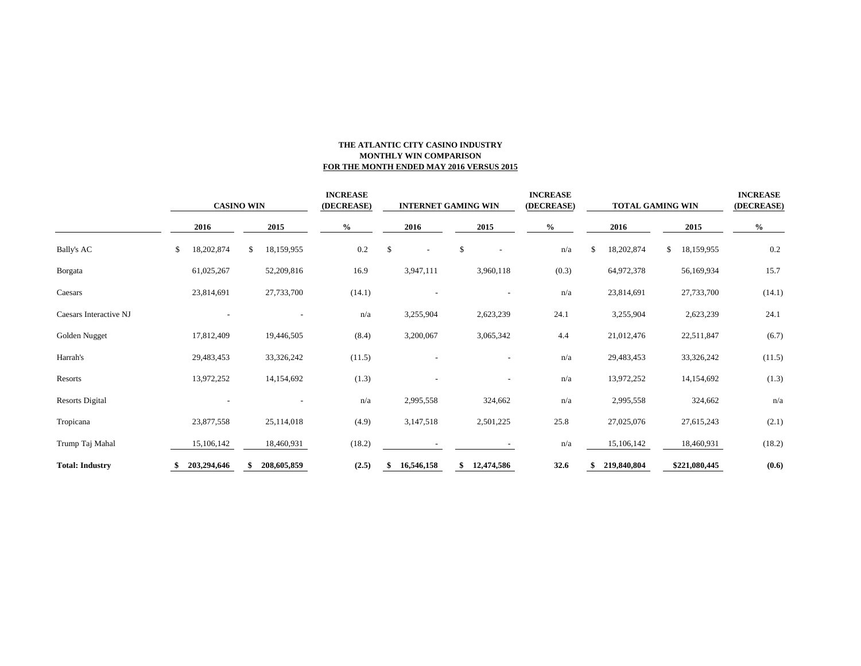### **THE ATLANTIC CITY CASINO INDUSTRY MONTHLY WIN COMPARISON FOR THE MONTH ENDED MAY 2016 VERSUS 2015**

|                        |    | <b>CASINO WIN</b> |    |             |      | <b>INCREASE</b><br>(DECREASE) |      | <b>INTERNET GAMING WIN</b> |      |                          | <b>INCREASE</b><br>(DECREASE) | <b>TOTAL GAMING WIN</b> |      |             |      | <b>INCREASE</b><br>(DECREASE) |        |  |
|------------------------|----|-------------------|----|-------------|------|-------------------------------|------|----------------------------|------|--------------------------|-------------------------------|-------------------------|------|-------------|------|-------------------------------|--------|--|
|                        |    | 2016              |    | 2015        | $\%$ |                               | 2016 |                            | 2015 |                          | $\%$                          |                         | 2016 |             | 2015 |                               | $\%$   |  |
| <b>Bally's AC</b>      | \$ | 18,202,874        | \$ | 18,159,955  |      | 0.2                           | \$   | $\overline{\phantom{a}}$   | \$   | $\qquad \qquad -$        |                               | n/a                     | \$   | 18,202,874  | \$   | 18,159,955                    | 0.2    |  |
| Borgata                |    | 61,025,267        |    | 52,209,816  |      | 16.9                          |      | 3,947,111                  |      | 3,960,118                |                               | (0.3)                   |      | 64,972,378  |      | 56,169,934                    | 15.7   |  |
| Caesars                |    | 23,814,691        |    | 27,733,700  |      | (14.1)                        |      |                            |      |                          |                               | n/a                     |      | 23,814,691  |      | 27,733,700                    | (14.1) |  |
| Caesars Interactive NJ |    |                   |    |             |      | n/a                           |      | 3,255,904                  |      | 2,623,239                |                               | 24.1                    |      | 3,255,904   |      | 2,623,239                     | 24.1   |  |
| Golden Nugget          |    | 17,812,409        |    | 19,446,505  |      | (8.4)                         |      | 3,200,067                  |      | 3,065,342                |                               | 4.4                     |      | 21,012,476  |      | 22,511,847                    | (6.7)  |  |
| Harrah's               |    | 29,483,453        |    | 33,326,242  |      | (11.5)                        |      |                            |      |                          |                               | n/a                     |      | 29,483,453  |      | 33,326,242                    | (11.5) |  |
| Resorts                |    | 13,972,252        |    | 14,154,692  |      | (1.3)                         |      |                            |      | $\overline{\phantom{a}}$ |                               | n/a                     |      | 13,972,252  |      | 14,154,692                    | (1.3)  |  |
| <b>Resorts Digital</b> |    |                   |    |             |      | n/a                           |      | 2,995,558                  |      | 324,662                  |                               | n/a                     |      | 2,995,558   |      | 324,662                       | n/a    |  |
| Tropicana              |    | 23,877,558        |    | 25,114,018  |      | (4.9)                         |      | 3,147,518                  |      | 2,501,225                |                               | 25.8                    |      | 27,025,076  |      | 27,615,243                    | (2.1)  |  |
| Trump Taj Mahal        |    | 15,106,142        |    | 18,460,931  |      | (18.2)                        |      |                            |      |                          |                               | n/a                     |      | 15,106,142  |      | 18,460,931                    | (18.2) |  |
| <b>Total: Industry</b> |    | 203,294,646       |    | 208,605,859 |      | (2.5)                         |      | 16,546,158                 | \$   | 12,474,586               |                               | 32.6                    |      | 219,840,804 |      | \$221,080,445                 | (0.6)  |  |